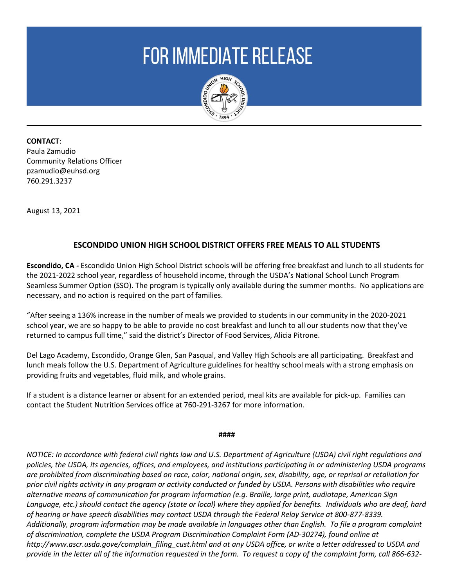## **FOR IMMEDIATE RELEASE**



**CONTACT**: Paula Zamudio Community Relations Officer pzamudio@euhsd.org 760.291.3237

August 13, 2021

## **ESCONDIDO UNION HIGH SCHOOL DISTRICT OFFERS FREE MEALS TO ALL STUDENTS**

**Escondido, CA -** Escondido Union High School District schools will be offering free breakfast and lunch to all students for the 2021-2022 school year, regardless of household income, through the USDA's National School Lunch Program Seamless Summer Option (SSO). The program is typically only available during the summer months. No applications are necessary, and no action is required on the part of families.

"After seeing a 136% increase in the number of meals we provided to students in our community in the 2020-2021 school year, we are so happy to be able to provide no cost breakfast and lunch to all our students now that they've returned to campus full time," said the district's Director of Food Services, Alicia Pitrone.

Del Lago Academy, Escondido, Orange Glen, San Pasqual, and Valley High Schools are all participating. Breakfast and lunch meals follow the U.S. Department of Agriculture guidelines for healthy school meals with a strong emphasis on providing fruits and vegetables, fluid milk, and whole grains.

If a student is a distance learner or absent for an extended period, meal kits are available for pick-up. Families can contact the Student Nutrition Services office at 760-291-3267 for more information.

**####**

*NOTICE: In accordance with federal civil rights law and U.S. Department of Agriculture (USDA) civil right regulations and policies, the USDA, its agencies, offices, and employees, and institutions participating in or administering USDA programs are prohibited from discriminating based on race, color, national origin, sex, disability, age, or reprisal or retaliation for prior civil rights activity in any program or activity conducted or funded by USDA. Persons with disabilities who require alternative means of communication for program information (e.g. Braille, large print, audiotape, American Sign Language, etc.) should contact the agency (state or local) where they applied for benefits. Individuals who are deaf, hard of hearing or have speech disabilities may contact USDA through the Federal Relay Service at 800-877-8339. Additionally, program information may be made available in languages other than English. To file a program complaint of discrimination, complete the USDA Program Discrimination Complaint Form (AD-30274), found online at http://www.ascr.usda.gove/complain\_filing\_cust.html and at any USDA office, or write a letter addressed to USDA and provide in the letter all of the information requested in the form. To request a copy of the complaint form, call 866-632-*